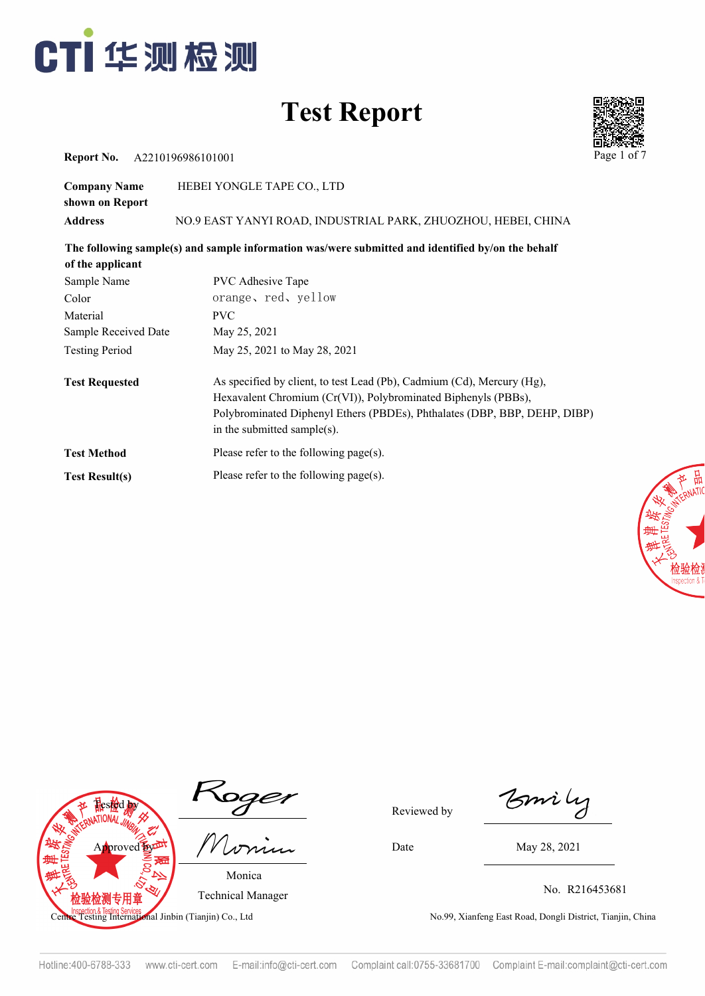



**Report No.** A2210196986101001 Page 1

| <b>Company Name</b> | HEBEI YONGLE TAPE CO., LTD                                    |
|---------------------|---------------------------------------------------------------|
| shown on Report     |                                                               |
| Address             | NO.9 EAST YANYI ROAD, INDUSTRIAL PARK, ZHUOZHOU, HEBEI, CHINA |

**The following sample(s) and sample information was/were submitted and identified by/on the behalf** 

| of the applicant      |                                                                                                                                                                                                                                                      |
|-----------------------|------------------------------------------------------------------------------------------------------------------------------------------------------------------------------------------------------------------------------------------------------|
| Sample Name           | <b>PVC</b> Adhesive Tape                                                                                                                                                                                                                             |
| Color                 | orange, red, yellow                                                                                                                                                                                                                                  |
| Material              | <b>PVC</b>                                                                                                                                                                                                                                           |
| Sample Received Date  | May 25, 2021                                                                                                                                                                                                                                         |
| <b>Testing Period</b> | May 25, 2021 to May 28, 2021                                                                                                                                                                                                                         |
| <b>Test Requested</b> | As specified by client, to test Lead (Pb), Cadmium (Cd), Mercury (Hg),<br>Hexavalent Chromium (Cr(VI)), Polybrominated Biphenyls (PBBs),<br>Polybrominated Diphenyl Ethers (PBDEs), Phthalates (DBP, BBP, DEHP, DIBP)<br>in the submitted sample(s). |
| <b>Test Method</b>    | Please refer to the following page(s).                                                                                                                                                                                                               |
| <b>Test Result(s)</b> | Please refer to the following page(s).                                                                                                                                                                                                               |





 $\mathcal{I}$ Reviewed by

Monica Technical Manager

Bmily

Date May 28, 2021

No. R216453681

peguna iesting Senver<br>Testing International Jinbin (Tianjin) Co., Ltd No.99, Xianfeng East Road, Dongli District, Tianjin, China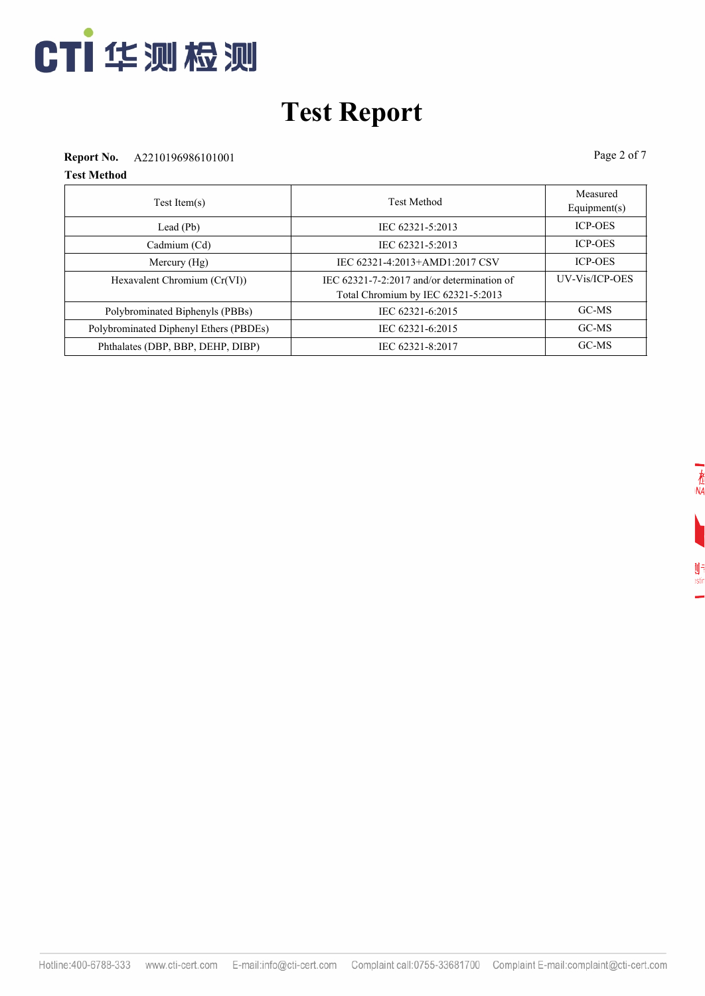

#### **Report No.** A2210196986101001 Page 2 of 7

| Test Item(s)                           | <b>Test Method</b>                                                                     | Measured<br>Equipment $(s)$ |
|----------------------------------------|----------------------------------------------------------------------------------------|-----------------------------|
| Lead $(Pb)$                            | IEC 62321-5:2013                                                                       | <b>ICP-OES</b>              |
| Cadmium (Cd)                           | IEC 62321-5:2013                                                                       | <b>ICP-OES</b>              |
| Mercury $(Hg)$                         | IEC 62321-4:2013+AMD1:2017 CSV                                                         | <b>ICP-OES</b>              |
| Hexavalent Chromium (Cr(VI))           | IEC $62321 - 7 - 2:2017$ and/or determination of<br>Total Chromium by IEC 62321-5:2013 | UV-Vis/ICP-OES              |
| Polybrominated Biphenyls (PBBs)        | IEC 62321-6:2015                                                                       | GC-MS                       |
| Polybrominated Diphenyl Ethers (PBDEs) | IEC 62321-6:2015                                                                       | GC-MS                       |
| Phthalates (DBP, BBP, DEHP, DIBP)      | IEC 62321-8:2017                                                                       | GC-MS                       |

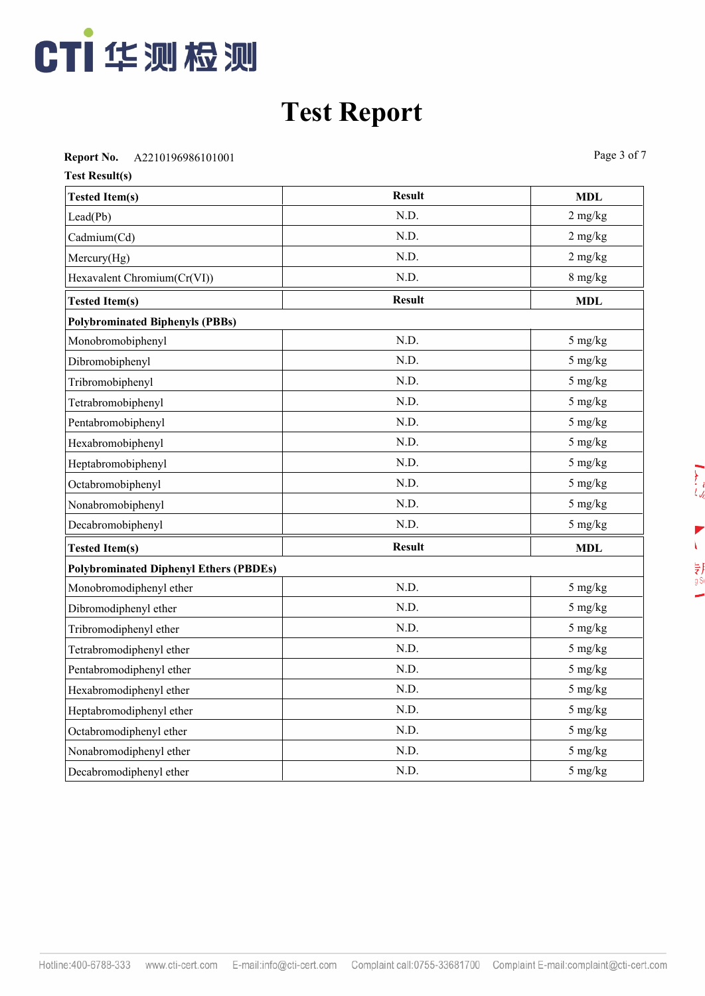

**Report No.** A2210196986101001 Page 3 of 7

| <b>Test Result(s)</b>                         |               |            |  |  |  |
|-----------------------------------------------|---------------|------------|--|--|--|
| <b>Tested Item(s)</b>                         | <b>Result</b> | <b>MDL</b> |  |  |  |
| Lead(Pb)                                      | N.D.          | $2$ mg/kg  |  |  |  |
| Cadmium(Cd)                                   | N.D.          | $2$ mg/kg  |  |  |  |
| Mercury(Hg)                                   | N.D.          | $2$ mg/kg  |  |  |  |
| Hexavalent Chromium(Cr(VI))                   | N.D.          | 8 mg/kg    |  |  |  |
| <b>Tested Item(s)</b>                         | <b>Result</b> | <b>MDL</b> |  |  |  |
| <b>Polybrominated Biphenyls (PBBs)</b>        |               |            |  |  |  |
| Monobromobiphenyl                             | N.D.          | 5 mg/kg    |  |  |  |
| Dibromobiphenyl                               | N.D.          | 5 mg/kg    |  |  |  |
| Tribromobiphenyl                              | N.D.          | 5 mg/kg    |  |  |  |
| Tetrabromobiphenyl                            | N.D.          | 5 mg/kg    |  |  |  |
| Pentabromobiphenyl                            | N.D.          | 5 mg/kg    |  |  |  |
| Hexabromobiphenyl                             | N.D.          | 5 mg/kg    |  |  |  |
| Heptabromobiphenyl                            | N.D.          | 5 mg/kg    |  |  |  |
| Octabromobiphenyl                             | N.D.          | 5 mg/kg    |  |  |  |
| Nonabromobiphenyl                             | N.D.          | 5 mg/kg    |  |  |  |
| Decabromobiphenyl                             | N.D.          | 5 mg/kg    |  |  |  |
| <b>Tested Item(s)</b>                         | <b>Result</b> | <b>MDL</b> |  |  |  |
| <b>Polybrominated Diphenyl Ethers (PBDEs)</b> |               |            |  |  |  |
| Monobromodiphenyl ether                       | N.D.          | 5 mg/kg    |  |  |  |
| Dibromodiphenyl ether                         | N.D.          | 5 mg/kg    |  |  |  |
| Tribromodiphenyl ether                        | N.D.          | 5 mg/kg    |  |  |  |
| Tetrabromodiphenyl ether                      | N.D.          | 5 mg/kg    |  |  |  |
| Pentabromodiphenyl ether                      | N.D.          | 5 mg/kg    |  |  |  |
| Hexabromodiphenyl ether                       | N.D.          | 5 mg/kg    |  |  |  |
| Heptabromodiphenyl ether                      | N.D.          | 5 mg/kg    |  |  |  |
| Octabromodiphenyl ether                       | N.D.          | 5 mg/kg    |  |  |  |
| Nonabromodiphenyl ether                       | N.D.          | 5 mg/kg    |  |  |  |
| Decabromodiphenyl ether                       | N.D.          | 5 mg/kg    |  |  |  |

 $\sum_{i,j}$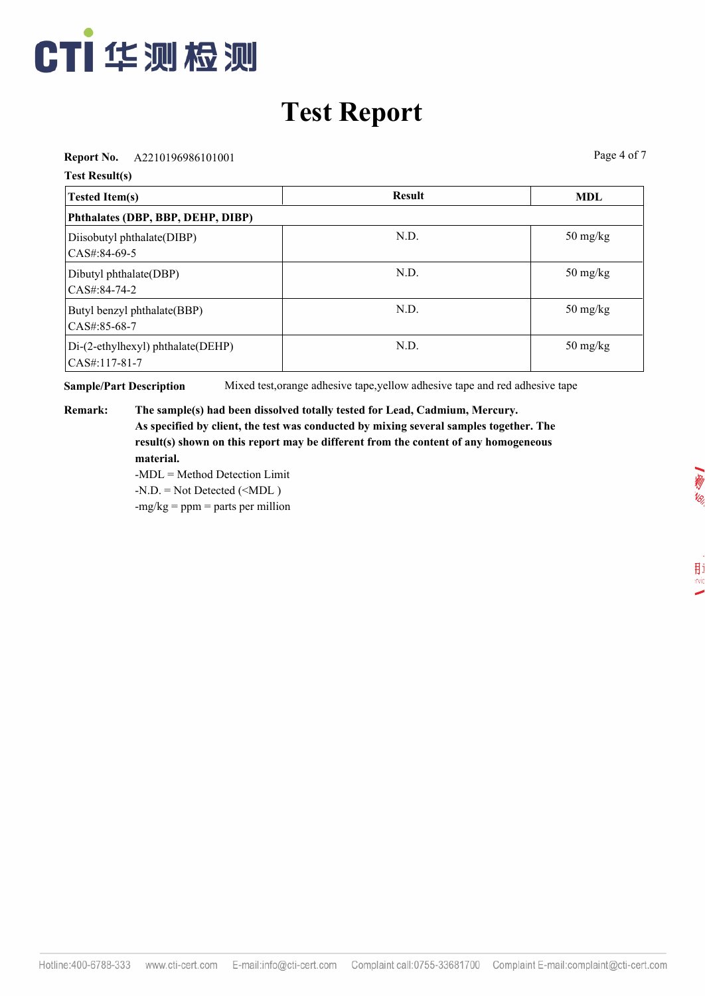

**Report No.** A2210196986101001 Page 4 of 7

**Test Result(s)**

| <b>Tested Item(s)</b>                                 | <b>Result</b> | <b>MDL</b>                       |  |  |  |
|-------------------------------------------------------|---------------|----------------------------------|--|--|--|
| Phthalates (DBP, BBP, DEHP, DIBP)                     |               |                                  |  |  |  |
| Diisobutyl phthalate(DIBP)<br>$ CAS\#:84-69-5 $       | N.D.          | $50 \frac{\text{mg}}{\text{kg}}$ |  |  |  |
| Dibutyl phthalate(DBP)<br>$CAS#:84-74-2$              | N.D.          | $50 \frac{\text{mg}}{\text{kg}}$ |  |  |  |
| Butyl benzyl phthalate(BBP)<br>$CAS#:85-68-7$         | N.D.          | $50 \frac{\text{mg}}{\text{kg}}$ |  |  |  |
| Di-(2-ethylhexyl) phthalate(DEHP)<br>$ CAS#:117-81-7$ | N.D.          | $50 \frac{\text{mg}}{\text{kg}}$ |  |  |  |

**Sample/Part Description** Mixed test,orange adhesive tape,yellow adhesive tape and red adhesive tape

**Remark: The sample(s) had been dissolved totally tested for Lead, Cadmium, Mercury. As specified by client, the test was conducted by mixing several samples together. The result(s) shown on this report may be different from the content of any homogeneous material.**

-MDL = Method Detection Limit  $-N.D. = Not detected ($ 

 $-mg/kg = ppm = parts per million$ 

用i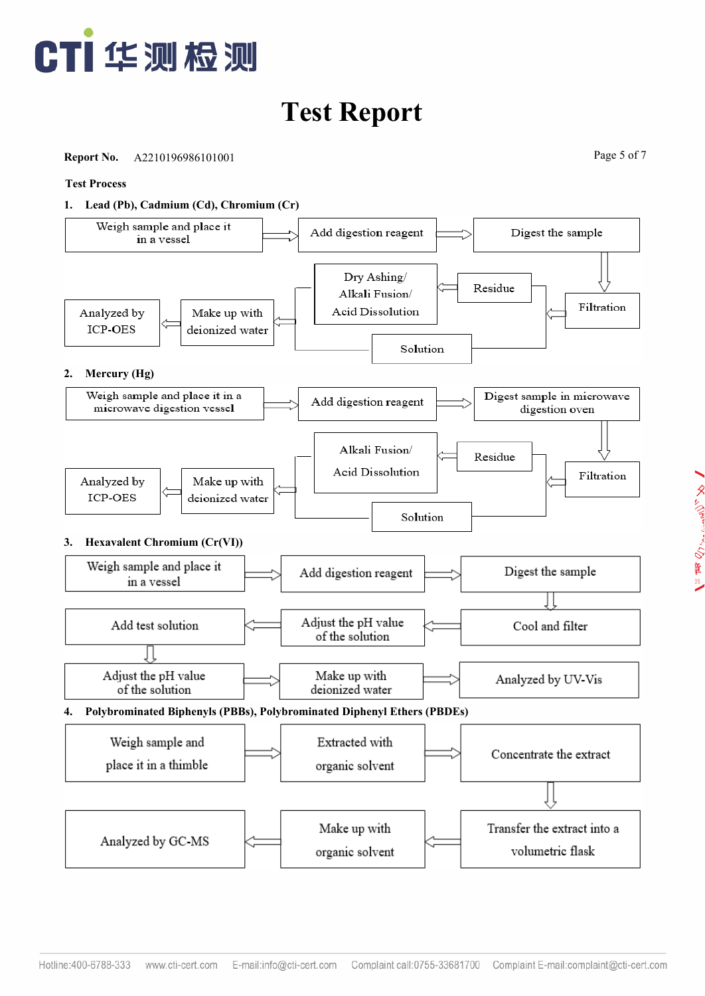

**Report No.** A2210196986101001 Page 5 of 7

■ タルクwarranter voltage structure

#### **Test Process**



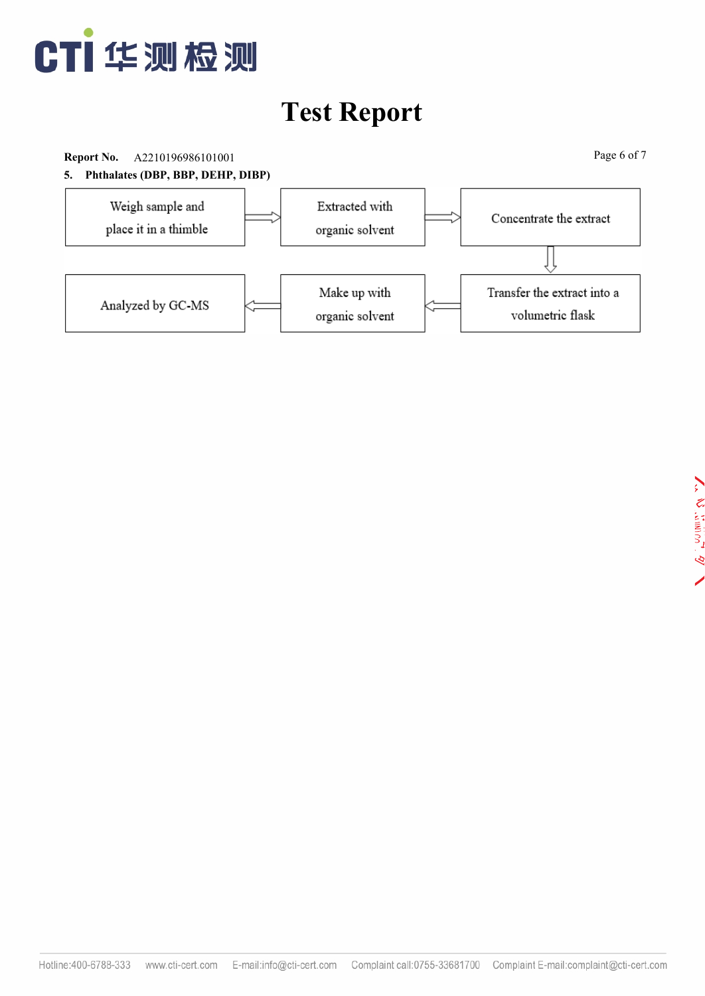

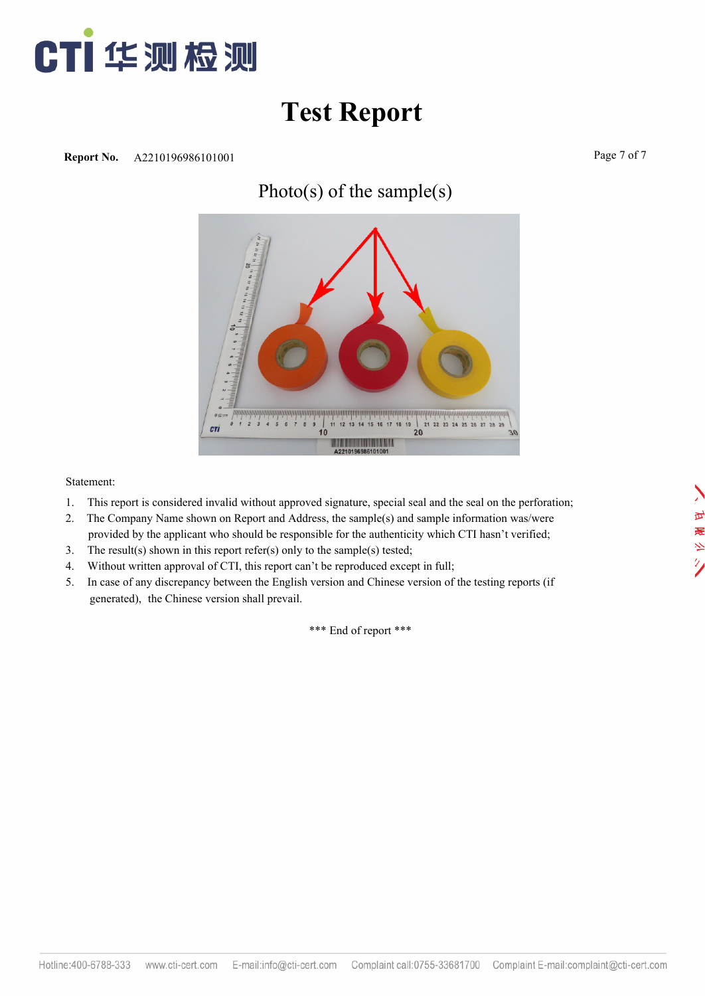

#### Photo(s) of the sample(s)



Statement:

- 1. This report is considered invalid without approved signature, special seal and the seal on the perforation;
- 2. The Company Name shown on Report and Address, the sample(s) and sample information was/were provided by the applicant who should be responsible for the authenticity which CTI hasn't verified;
- 3. The result(s) shown in this report refer(s) only to the sample(s) tested;
- 4. Without written approval of CTI, this report can't be reproduced except in full;
- 5. In case of any discrepancy between the English version and Chinese version of the testing reports (if generated), the Chinese version shall prevail.

\*\*\* End of report \*\*\*